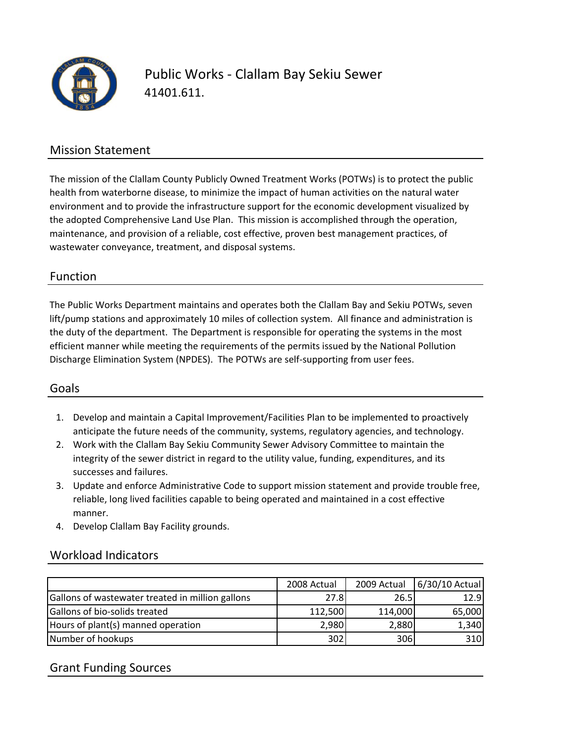

Public Works ‐ Clallam Bay Sekiu Sewer 41401.611.

### Mission Statement

The mission of the Clallam County Publicly Owned Treatment Works (POTWs) is to protect the public health from waterborne disease, to minimize the impact of human activities on the natural water environment and to provide the infrastructure support for the economic development visualized by the adopted Comprehensive Land Use Plan. This mission is accomplished through the operation, maintenance, and provision of a reliable, cost effective, proven best management practices, of wastewater conveyance, treatment, and disposal systems.

### Function

The Public Works Department maintains and operates both the Clallam Bay and Sekiu POTWs, seven lift/pump stations and approximately 10 miles of collection system. All finance and administration is the duty of the department. The Department is responsible for operating the systems in the most efficient manner while meeting the requirements of the permits issued by the National Pollution Discharge Elimination System (NPDES). The POTWs are self‐supporting from user fees.

## Goals

- 1. Develop and maintain a Capital Improvement/Facilities Plan to be implemented to proactively anticipate the future needs of the community, systems, regulatory agencies, and technology.
- 2. Work with the Clallam Bay Sekiu Community Sewer Advisory Committee to maintain the integrity of the sewer district in regard to the utility value, funding, expenditures, and its successes and failures.
- 3. Update and enforce Administrative Code to support mission statement and provide trouble free, reliable, long lived facilities capable to being operated and maintained in a cost effective manner.
- 4. Develop Clallam Bay Facility grounds.

#### Workload Indicators

|                                                  | 2008 Actual | 2009 Actual | 6/30/10 Actual |
|--------------------------------------------------|-------------|-------------|----------------|
| Gallons of wastewater treated in million gallons | 27.8I       | 26.5        | 12.9           |
| Gallons of bio-solids treated                    | 112,500     | 114,000     | 65,000         |
| Hours of plant(s) manned operation               | 2,980       | 2,880       | 1,340          |
| Number of hookups                                | 302         | 306         | 310            |

## Grant Funding Sources